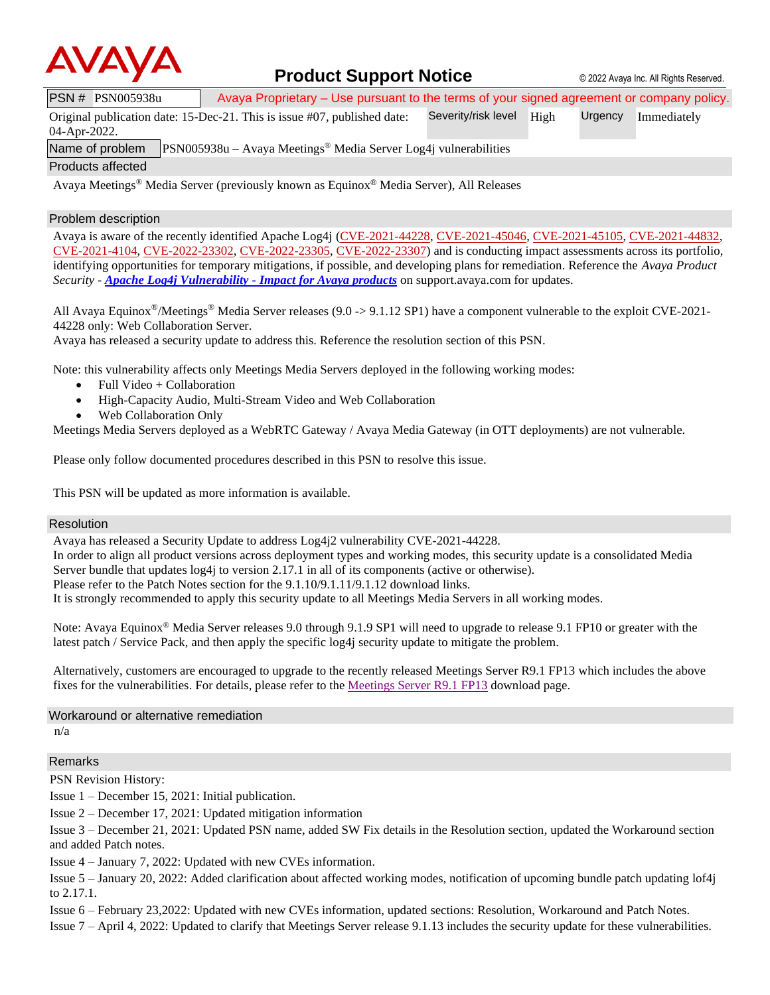

### **Product Support Notice** © 2022 Avaya Inc. All Rights Reserved.

PSN # PSN005938u Avaya Proprietary – Use pursuant to the terms of your signed agreement or company policy.

Original publication date: 15-Dec-21. This is issue #07, published date: Severity/risk level High Urgency Immediately

04-Apr-2022.

Name of problem PSN005938u – Avaya Meetings® Media Server Log4j vulnerabilities

Products affected

Avaya Meetings® Media Server (previously known as Equinox® Media Server), All Releases

#### Problem description

Avaya is aware of the recently identified Apache Log4j [\(CVE-2021-44228,](https://cve.mitre.org/cgi-bin/cvename.cgi?name=CVE-2021-44228) [CVE-2021-45046,](https://cve.mitre.org/cgi-bin/cvename.cgi?name=CVE-2021-45046) [CVE-2021-45105,](https://cve.mitre.org/cgi-bin/cvename.cgi?name=CVE-2021-45105) [CVE-2021-44832,](https://cve.mitre.org/cgi-bin/cvename.cgi?name=CVE-2021-44832) [CVE-2021-4104,](https://cve.mitre.org/cgi-bin/cvename.cgi?name=CVE-2021-4104) [CVE-2022-23302,](https://www.cvedetails.com/cve/CVE-2022-23302/) [CVE-2022-23305,](https://www.cvedetails.com/cve/CVE-2022-23305/) [CVE-2022-23307\)](https://www.cvedetails.com/cve/CVE-2022-23307/) and is conducting impact assessments across its portfolio, identifying opportunities for temporary mitigations, if possible, and developing plans for remediation. Reference the *Avaya Product Security - [Apache Log4j Vulnerability -](http://www.avaya.com/emergencyupdate) Impact for Avaya products* on support.avaya.com for updates.

All Avaya Equinox<sup>®</sup>/Meetings<sup>®</sup> Media Server releases (9.0 -> 9.1.12 SP1) have a component vulnerable to the exploit CVE-2021-44228 only: Web Collaboration Server.

Avaya has released a security update to address this. Reference the resolution section of this PSN.

Note: this vulnerability affects only Meetings Media Servers deployed in the following working modes:

- Full Video + Collaboration
- High-Capacity Audio, Multi-Stream Video and Web Collaboration
- Web Collaboration Only

Meetings Media Servers deployed as a WebRTC Gateway / Avaya Media Gateway (in OTT deployments) are not vulnerable.

Please only follow documented procedures described in this PSN to resolve this issue.

This PSN will be updated as more information is available.

#### Resolution

Avaya has released a Security Update to address Log4j2 vulnerability CVE-2021-44228.

In order to align all product versions across deployment types and working modes, this security update is a consolidated Media Server bundle that updates log4j to version 2.17.1 in all of its components (active or otherwise).

Please refer to the Patch Notes section for the 9.1.10/9.1.11/9.1.12 download links.

It is strongly recommended to apply this security update to all Meetings Media Servers in all working modes.

Note: Avaya Equinox<sup>®</sup> Media Server releases 9.0 through 9.1.9 SP1 will need to upgrade to release 9.1 FP10 or greater with the latest patch / Service Pack, and then apply the specific log4j security update to mitigate the problem.

Alternatively, customers are encouraged to upgrade to the recently released Meetings Server R9.1 FP13 which includes the above fixes for the vulnerabilities. For details, please refer to th[e Meetings Server R9.1 FP13](https://support.avaya.com/downloads/download-details.action?contentId=1399845905400&productId=P1728&releaseId=9.1.x) download page.

#### Workaround or alternative remediation

n/a

#### Remarks

PSN Revision History:

Issue 1 – December 15, 2021: Initial publication.

Issue 2 – December 17, 2021: Updated mitigation information

Issue 3 – December 21, 2021: Updated PSN name, added SW Fix details in the Resolution section, updated the Workaround section and added Patch notes.

Issue 4 – January 7, 2022: Updated with new CVEs information.

Issue 5 – January 20, 2022: Added clarification about affected working modes, notification of upcoming bundle patch updating lof4j to 2.17.1.

Issue 6 – February 23,2022: Updated with new CVEs information, updated sections: Resolution, Workaround and Patch Notes.

Issue 7 – April 4, 2022: Updated to clarify that Meetings Server release 9.1.13 includes the security update for these vulnerabilities.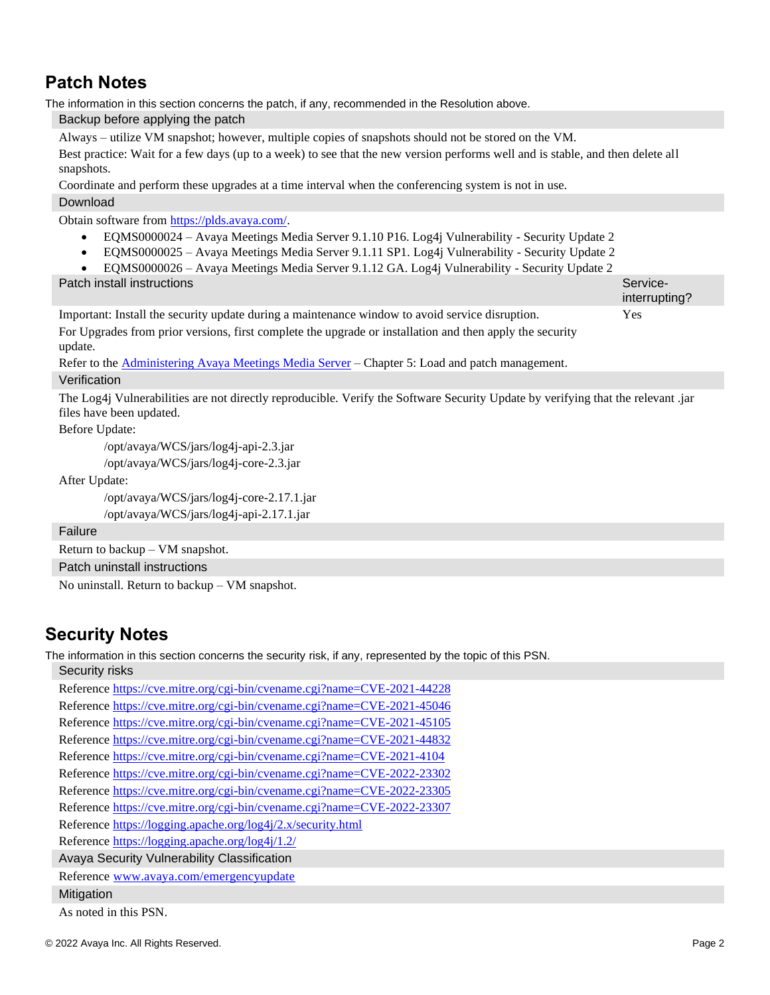# **Patch Notes**

The information in this section concerns the patch, if any, recommended in the Resolution above. Backup before applying the patch

Always – utilize VM snapshot; however, multiple copies of snapshots should not be stored on the VM.

Best practice: Wait for a few days (up to a week) to see that the new version performs well and is stable, and then delete all snapshots.

Coordinate and perform these upgrades at a time interval when the conferencing system is not in use.

#### Download

Obtain software from [https://plds.avaya.com/.](https://plds.avaya.com/)

- EQMS0000024 Avaya Meetings Media Server 9.1.10 P16. Log4j Vulnerability Security Update 2
- EQMS0000025 Avaya Meetings Media Server 9.1.11 SP1. Log4j Vulnerability Security Update 2
- EQMS0000026 Avaya Meetings Media Server 9.1.12 GA. Log4j Vulnerability Security Update 2

**Patch install instructions** Service-

interrupting? Important: Install the security update during a maintenance window to avoid service disruption. For Upgrades from prior versions, first complete the upgrade or installation and then apply the security update. Yes

Refer to the **[Administering Avaya Meetings Media Server](https://download.avaya.com/css/public/documents/101074763)** – Chapter 5: Load and patch management. Verification

The Log4j Vulnerabilities are not directly reproducible. Verify the Software Security Update by verifying that the relevant .jar files have been updated.

Before Update:

/opt/avaya/WCS/jars/log4j-api-2.3.jar

/opt/avaya/WCS/jars/log4j-core-2.3.jar

After Update:

```
/opt/avaya/WCS/jars/log4j-core-2.17.1.jar
/opt/avaya/WCS/jars/log4j-api-2.17.1.jar
```
Failure

Return to backup – VM snapshot.

Patch uninstall instructions

No uninstall. Return to backup – VM snapshot.

## **Security Notes**

The information in this section concerns the security risk, if any, represented by the topic of this PSN.

Security risks

Reference<https://cve.mitre.org/cgi-bin/cvename.cgi?name=CVE-2021-44228> Reference<https://cve.mitre.org/cgi-bin/cvename.cgi?name=CVE-2021-45046> Reference<https://cve.mitre.org/cgi-bin/cvename.cgi?name=CVE-2021-45105> Reference<https://cve.mitre.org/cgi-bin/cvename.cgi?name=CVE-2021-44832> Reference<https://cve.mitre.org/cgi-bin/cvename.cgi?name=CVE-2021-4104> Reference<https://cve.mitre.org/cgi-bin/cvename.cgi?name=CVE-2022-23302> Reference<https://cve.mitre.org/cgi-bin/cvename.cgi?name=CVE-2022-23305> Reference<https://cve.mitre.org/cgi-bin/cvename.cgi?name=CVE-2022-23307> Reference<https://logging.apache.org/log4j/2.x/security.html> Reference<https://logging.apache.org/log4j/1.2/> Avaya Security Vulnerability Classification Reference [www.avaya.com/emergencyupdate](http://www.avaya.com/emergencyupdate) **Mitigation** 

As noted in this PSN.